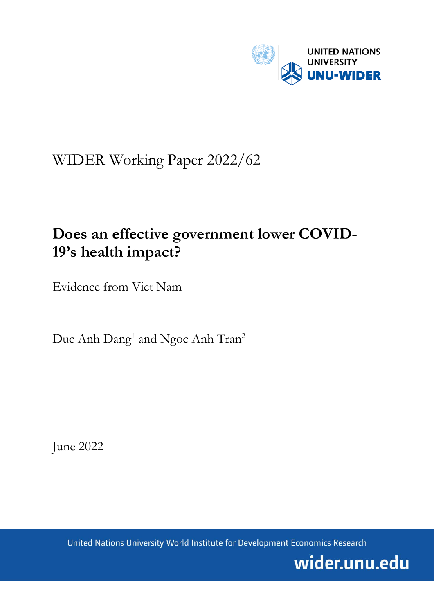

# WIDER Working Paper 2022/62

# **Does an effective government lower COVID-19's health impact?**

Evidence from Viet Nam

Duc Anh Dang<sup>1</sup> and Ngoc Anh Tran<sup>2</sup>

June 2022

United Nations University World Institute for Development Economics Research

wider.unu.edu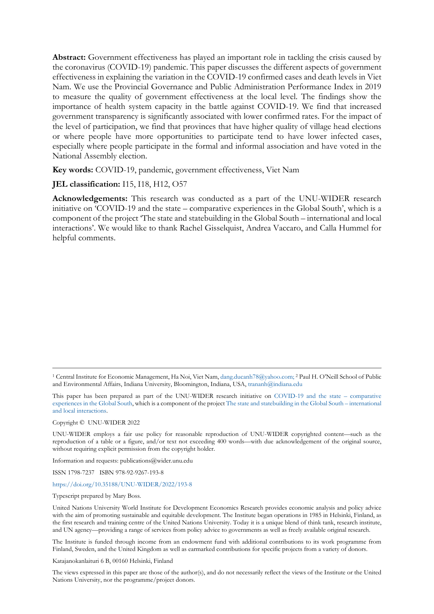**Abstract:** Government effectiveness has played an important role in tackling the crisis caused by the coronavirus (COVID-19) pandemic. This paper discusses the different aspects of government effectiveness in explaining the variation in the COVID-19 confirmed cases and death levels in Viet Nam. We use the Provincial Governance and Public Administration Performance Index in 2019 to measure the quality of government effectiveness at the local level. The findings show the importance of health system capacity in the battle against COVID-19. We find that increased government transparency is significantly associated with lower confirmed rates. For the impact of the level of participation, we find that provinces that have higher quality of village head elections or where people have more opportunities to participate tend to have lower infected cases, especially where people participate in the formal and informal association and have voted in the National Assembly election.

**Key words:** COVID-19, pandemic, government effectiveness, Viet Nam

**JEL classification:** I15, I18, H12, O57

**Acknowledgements:** This research was conducted as a part of the UNU-WIDER research initiative on 'COVID-19 and the state – comparative experiences in the Global South', which is a component of the project 'The state and statebuilding in the Global South – international and local interactions'. We would like to thank Rachel Gisselquist, Andrea Vaccaro, and Calla Hummel for helpful comments.

Copyright © UNU-WIDER 2022

UNU-WIDER employs a fair use policy for reasonable reproduction of UNU-WIDER copyrighted content—such as the reproduction of a table or a figure, and/or text not exceeding 400 words—with due acknowledgement of the original source, without requiring explicit permission from the copyright holder.

Information and requests: publications@wider.unu.edu

ISSN 1798-7237 ISBN 978-92-9267-193-8

## <https://doi.org/10.35188/UNU-WIDER/2022/193-8>

Typescript prepared by Mary Boss.

United Nations University World Institute for Development Economics Research provides economic analysis and policy advice with the aim of promoting sustainable and equitable development. The Institute began operations in 1985 in Helsinki, Finland, as the first research and training centre of the United Nations University. Today it is a unique blend of think tank, research institute, and UN agency—providing a range of services from policy advice to governments as well as freely available original research.

The Institute is funded through income from an endowment fund with additional contributions to its work programme from Finland, Sweden, and the United Kingdom as well as earmarked contributions for specific projects from a variety of donors.

Katajanokanlaituri 6 B, 00160 Helsinki, Finland

The views expressed in this paper are those of the author(s), and do not necessarily reflect the views of the Institute or the United Nations University, nor the programme/project donors.

<sup>1</sup> Central Institute for Economic Management, Ha Noi, Viet Nam[, dang.ducanh78@yahoo.com;](mailto:dang.ducanh78@yahoo.com) <sup>2</sup> Paul H. O'Neill School of Public and Environmental Affairs, Indiana University, Bloomington, Indiana, USA[, trananh@indiana.edu](mailto:trananh@indiana.edu)

This paper has been prepared as part of the UNU-WIDER research initiative on [COVID-19 and the state –](https://www.wider.unu.edu/node/239521) comparative [experiences in the Global South,](https://www.wider.unu.edu/node/239521) which is a component of the projec[t The state and statebuilding in the Global South –](https://www.wider.unu.edu/node/237413) international [and local interactions.](https://www.wider.unu.edu/node/237413)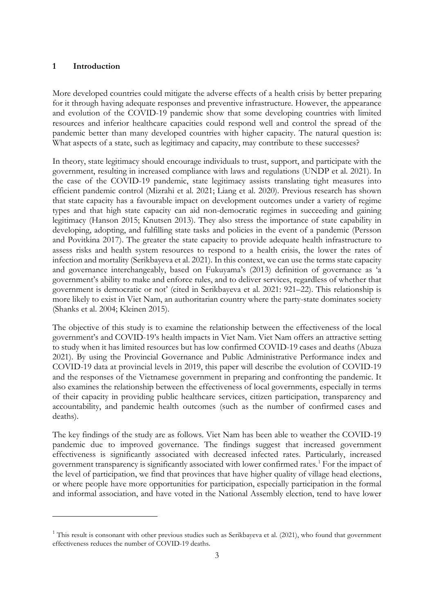## **1 Introduction**

More developed countries could mitigate the adverse effects of a health crisis by better preparing for it through having adequate responses and preventive infrastructure. However, the appearance and evolution of the COVID-19 pandemic show that some developing countries with limited resources and inferior healthcare capacities could respond well and control the spread of the pandemic better than many developed countries with higher capacity. The natural question is: What aspects of a state, such as legitimacy and capacity, may contribute to these successes?

In theory, state legitimacy should encourage individuals to trust, support, and participate with the government, resulting in increased compliance with laws and regulations (UNDP et al. 2021). In the case of the COVID-19 pandemic, state legitimacy assists translating tight measures into efficient pandemic control (Mizrahi et al. 2021; Liang et al. 2020). Previous research has shown that state capacity has a favourable impact on development outcomes under a variety of regime types and that high state capacity can aid non-democratic regimes in succeeding and gaining legitimacy (Hanson 2015; Knutsen 2013). They also stress the importance of state capability in developing, adopting, and fulfilling state tasks and policies in the event of a pandemic (Persson and Povitkina 2017). The greater the state capacity to provide adequate health infrastructure to assess risks and health system resources to respond to a health crisis, the lower the rates of infection and mortality (Serikbayeva et al. 2021). In this context, we can use the terms state capacity and governance interchangeably, based on Fukuyama's (2013) definition of governance as 'a government's ability to make and enforce rules, and to deliver services, regardless of whether that government is democratic or not' (cited in Serikbayeva et al. 2021: 921–22). This relationship is more likely to exist in Viet Nam, an authoritarian country where the party-state dominates society (Shanks et al. 2004; Kleinen 2015).

The objective of this study is to examine the relationship between the effectiveness of the local government's and COVID-19's health impacts in Viet Nam. Viet Nam offers an attractive setting to study when it has limited resources but has low confirmed COVID-19 cases and deaths (Abuza 2021). By using the Provincial Governance and Public Administrative Performance index and COVID-19 data at provincial levels in 2019, this paper will describe the evolution of COVID-19 and the responses of the Vietnamese government in preparing and confronting the pandemic. It also examines the relationship between the effectiveness of local governments, especially in terms of their capacity in providing public healthcare services, citizen participation, transparency and accountability, and pandemic health outcomes (such as the number of confirmed cases and deaths).

The key findings of the study are as follows. Viet Nam has been able to weather the COVID-19 pandemic due to improved governance. The findings suggest that increased government effectiveness is significantly associated with decreased infected rates. Particularly, increased government transparency is significantly associated with lower confirmed rates. [1](#page-2-0) For the impact of the level of participation, we find that provinces that have higher quality of village head elections, or where people have more opportunities for participation, especially participation in the formal and informal association, and have voted in the National Assembly election, tend to have lower

<span id="page-2-0"></span><sup>&</sup>lt;sup>1</sup> This result is consonant with other previous studies such as Serikbayeva et al. (2021), who found that government effectiveness reduces the number of COVID-19 deaths.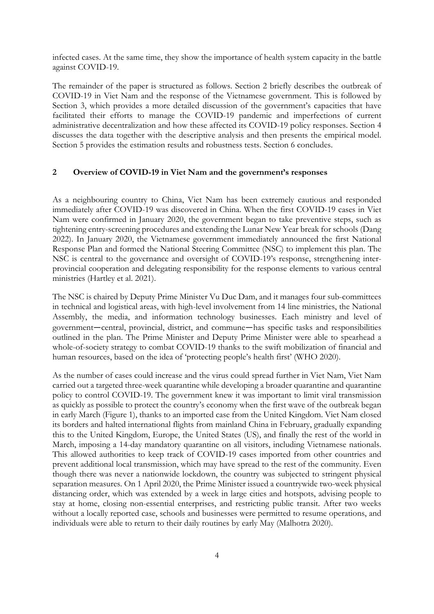infected cases. At the same time, they show the importance of health system capacity in the battle against COVID-19.

The remainder of the paper is structured as follows. Section 2 briefly describes the outbreak of COVID-19 in Viet Nam and the response of the Vietnamese government. This is followed by Section 3, which provides a more detailed discussion of the government's capacities that have facilitated their efforts to manage the COVID-19 pandemic and imperfections of current administrative decentralization and how these affected its COVID-19 policy responses. Section 4 discusses the data together with the descriptive analysis and then presents the empirical model. Section 5 provides the estimation results and robustness tests. Section 6 concludes.

## **2 Overview of COVID-19 in Viet Nam and the government's responses**

As a neighbouring country to China, Viet Nam has been extremely cautious and responded immediately after COVID-19 was discovered in China. When the first COVID-19 cases in Viet Nam were confirmed in January 2020, the government began to take preventive steps, such as tightening entry-screening procedures and extending the Lunar New Year break for schools (Dang 2022). In January 2020, the Vietnamese government immediately announced the first National Response Plan and formed the National Steering Committee (NSC) to implement this plan. The NSC is central to the governance and oversight of COVID-19's response, strengthening interprovincial cooperation and delegating responsibility for the response elements to various central ministries (Hartley et al. 2021).

The NSC is chaired by Deputy Prime Minister Vu Duc Dam, and it manages four sub-committees in technical and logistical areas, with high-level involvement from 14 line ministries, the National Assembly, the media, and information technology businesses. Each ministry and level of government—central, provincial, district, and commune—has specific tasks and responsibilities outlined in the plan. The Prime Minister and Deputy Prime Minister were able to spearhead a whole-of-society strategy to combat COVID-19 thanks to the swift mobilization of financial and human resources, based on the idea of 'protecting people's health first' (WHO 2020).

As the number of cases could increase and the virus could spread further in Viet Nam, Viet Nam carried out a targeted three-week quarantine while developing a broader quarantine and quarantine policy to control COVID-19. The government knew it was important to limit viral transmission as quickly as possible to protect the country's economy when the first wave of the outbreak began in early March (Figure 1), thanks to an imported case from the United Kingdom. Viet Nam closed its borders and halted international flights from mainland China in February, gradually expanding this to the United Kingdom, Europe, the United States (US), and finally the rest of the world in March, imposing a 14-day mandatory quarantine on all visitors, including Vietnamese nationals. This allowed authorities to keep track of COVID-19 cases imported from other countries and prevent additional local transmission, which may have spread to the rest of the community. Even though there was never a nationwide lockdown, the country was subjected to stringent physical separation measures. On 1 April 2020, the Prime Minister issued a countrywide two-week physical distancing order, which was extended by a week in large cities and hotspots, advising people to stay at home, closing non-essential enterprises, and restricting public transit. After two weeks without a locally reported case, schools and businesses were permitted to resume operations, and individuals were able to return to their daily routines by early May (Malhotra 2020).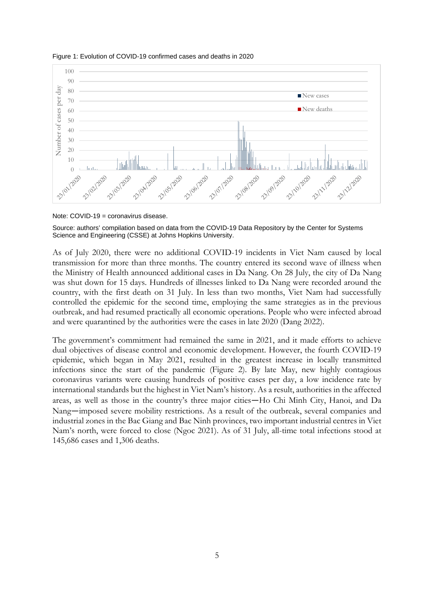

#### Figure 1: Evolution of COVID-19 confirmed cases and deaths in 2020

Note: COVID-19 = coronavirus disease.

Source: authors' compilation based on data from the COVID-19 Data Repository by the Center for Systems Science and Engineering (CSSE) at Johns Hopkins University.

As of July 2020, there were no additional COVID-19 incidents in Viet Nam caused by local transmission for more than three months. The country entered its second wave of illness when the Ministry of Health announced additional cases in Da Nang. On 28 July, the city of Da Nang was shut down for 15 days. Hundreds of illnesses linked to Da Nang were recorded around the country, with the first death on 31 July. In less than two months, Viet Nam had successfully controlled the epidemic for the second time, employing the same strategies as in the previous outbreak, and had resumed practically all economic operations. People who were infected abroad and were quarantined by the authorities were the cases in late 2020 (Dang 2022).

The government's commitment had remained the same in 2021, and it made efforts to achieve dual objectives of disease control and economic development. However, the fourth COVID-19 epidemic, which began in May 2021, resulted in the greatest increase in locally transmitted infections since the start of the pandemic (Figure 2). By late May, new highly contagious coronavirus variants were causing hundreds of positive cases per day, a low incidence rate by international standards but the highest in Viet Nam's history. As a result, authorities in the affected areas, as well as those in the country's three major cities—Ho Chi Minh City, Hanoi, and Da Nang—imposed severe mobility restrictions. As a result of the outbreak, several companies and industrial zones in the Bac Giang and Bac Ninh provinces, two important industrial centres in Viet Nam's north, were forced to close (Ngoc 2021). As of 31 July, all-time total infections stood at 145,686 cases and 1,306 deaths.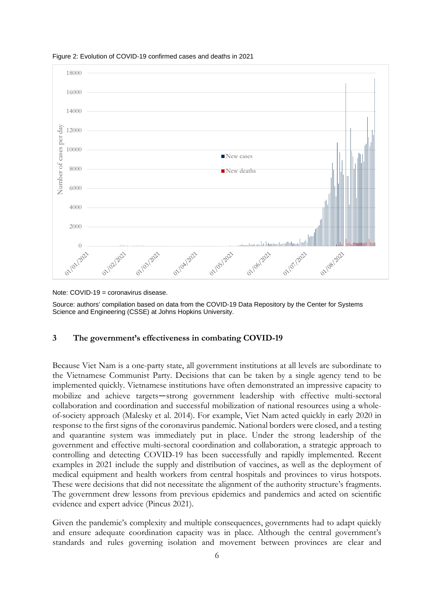

Figure 2: Evolution of COVID-19 confirmed cases and deaths in 2021

Note: COVID-19 = coronavirus disease.

Source: authors' compilation based on data from the COVID-19 Data Repository by the Center for Systems Science and Engineering (CSSE) at Johns Hopkins University.

## **3 The government's effectiveness in combating COVID-19**

Because Viet Nam is a one-party state, all government institutions at all levels are subordinate to the Vietnamese Communist Party. Decisions that can be taken by a single agency tend to be implemented quickly. Vietnamese institutions have often demonstrated an impressive capacity to mobilize and achieve targets—strong government leadership with effective multi-sectoral collaboration and coordination and successful mobilization of national resources using a wholeof-society approach (Malesky et al. 2014). For example, Viet Nam acted quickly in early 2020 in response to the first signs of the coronavirus pandemic. National borders were closed, and a testing and quarantine system was immediately put in place. Under the strong leadership of the government and effective multi-sectoral coordination and collaboration, a strategic approach to controlling and detecting COVID-19 has been successfully and rapidly implemented. Recent examples in 2021 include the supply and distribution of vaccines, as well as the deployment of medical equipment and health workers from central hospitals and provinces to virus hotspots. These were decisions that did not necessitate the alignment of the authority structure's fragments. The government drew lessons from previous epidemics and pandemics and acted on scientific evidence and expert advice (Pincus 2021).

Given the pandemic's complexity and multiple consequences, governments had to adapt quickly and ensure adequate coordination capacity was in place. Although the central government's standards and rules governing isolation and movement between provinces are clear and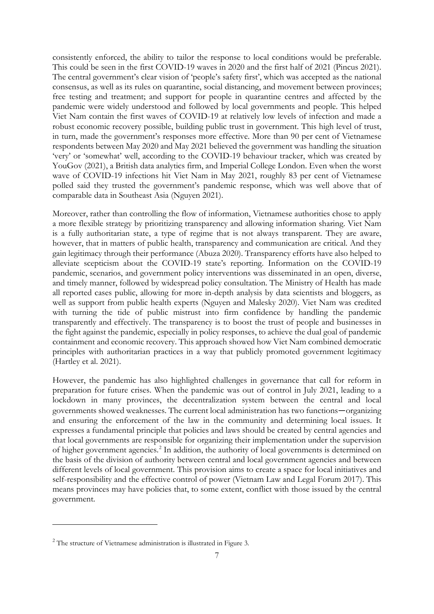consistently enforced, the ability to tailor the response to local conditions would be preferable. This could be seen in the first COVID-19 waves in 2020 and the first half of 2021 (Pincus 2021). The central government's clear vision of 'people's safety first', which was accepted as the national consensus, as well as its rules on quarantine, social distancing, and movement between provinces; free testing and treatment; and support for people in quarantine centres and affected by the pandemic were widely understood and followed by local governments and people. This helped Viet Nam contain the first waves of COVID-19 at relatively low levels of infection and made a robust economic recovery possible, building public trust in government. This high level of trust, in turn, made the government's responses more effective. More than 90 per cent of Vietnamese respondents between May 2020 and May 2021 believed the government was handling the situation 'very' or 'somewhat' well, according to the COVID-19 behaviour tracker, which was created by YouGov (2021), a British data analytics firm, and Imperial College London. Even when the worst wave of COVID-19 infections hit Viet Nam in May 2021, roughly 83 per cent of Vietnamese polled said they trusted the government's pandemic response, which was well above that of comparable data in Southeast Asia (Nguyen 2021).

Moreover, rather than controlling the flow of information, Vietnamese authorities chose to apply a more flexible strategy by prioritizing transparency and allowing information sharing. Viet Nam is a fully authoritarian state, a type of regime that is not always transparent. They are aware, however, that in matters of public health, transparency and communication are critical. And they gain legitimacy through their performance (Abuza 2020). Transparency efforts have also helped to alleviate scepticism about the COVID-19 state's reporting. Information on the COVID-19 pandemic, scenarios, and government policy interventions was disseminated in an open, diverse, and timely manner, followed by widespread policy consultation. The Ministry of Health has made all reported cases public, allowing for more in-depth analysis by data scientists and bloggers, as well as support from public health experts (Nguyen and Malesky 2020). Viet Nam was credited with turning the tide of public mistrust into firm confidence by handling the pandemic transparently and effectively. The transparency is to boost the trust of people and businesses in the fight against the pandemic, especially in policy responses, to achieve the dual goal of pandemic containment and economic recovery. This approach showed how Viet Nam combined democratic principles with authoritarian practices in a way that publicly promoted government legitimacy (Hartley et al. 2021).

However, the pandemic has also highlighted challenges in governance that call for reform in preparation for future crises. When the pandemic was out of control in July 2021, leading to a lockdown in many provinces, the decentralization system between the central and local governments showed weaknesses. The current local administration has two functions—organizing and ensuring the enforcement of the law in the community and determining local issues. It expresses a fundamental principle that policies and laws should be created by central agencies and that local governments are responsible for organizing their implementation under the supervision of higher government agencies.<sup>[2](#page-6-0)</sup> In addition, the authority of local governments is determined on the basis of the division of authority between central and local government agencies and between different levels of local government. This provision aims to create a space for local initiatives and self-responsibility and the effective control of power (Vietnam Law and Legal Forum 2017). This means provinces may have policies that, to some extent, conflict with those issued by the central government.

<span id="page-6-0"></span><sup>2</sup> The structure of Vietnamese administration is illustrated in Figure 3.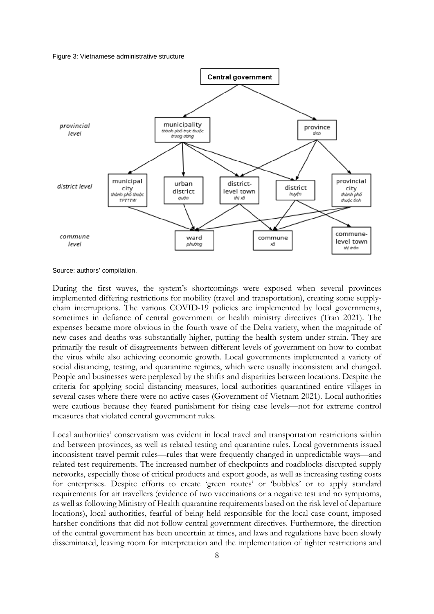#### Figure 3: Vietnamese administrative structure



Source: authors' compilation.

During the first waves, the system's shortcomings were exposed when several provinces implemented differing restrictions for mobility (travel and transportation), creating some supplychain interruptions. The various COVID-19 policies are implemented by local governments, sometimes in defiance of central government or health ministry directives (Tran 2021). The expenses became more obvious in the fourth wave of the Delta variety, when the magnitude of new cases and deaths was substantially higher, putting the health system under strain. They are primarily the result of disagreements between different levels of government on how to combat the virus while also achieving economic growth. Local governments implemented a variety of social distancing, testing, and quarantine regimes, which were usually inconsistent and changed. People and businesses were perplexed by the shifts and disparities between locations. Despite the criteria for applying social distancing measures, local authorities quarantined entire villages in several cases where there were no active cases (Government of Vietnam 2021). Local authorities were cautious because they feared punishment for rising case levels—not for extreme control measures that violated central government rules.

Local authorities' conservatism was evident in local travel and transportation restrictions within and between provinces, as well as related testing and quarantine rules. Local governments issued inconsistent travel permit rules—rules that were frequently changed in unpredictable ways—and related test requirements. The increased number of checkpoints and roadblocks disrupted supply networks, especially those of critical products and export goods, as well as increasing testing costs for enterprises. Despite efforts to create 'green routes' or 'bubbles' or to apply standard requirements for air travellers (evidence of two vaccinations or a negative test and no symptoms, as well as following Ministry of Health quarantine requirements based on the risk level of departure locations), local authorities, fearful of being held responsible for the local case count, imposed harsher conditions that did not follow central government directives. Furthermore, the direction of the central government has been uncertain at times, and laws and regulations have been slowly disseminated, leaving room for interpretation and the implementation of tighter restrictions and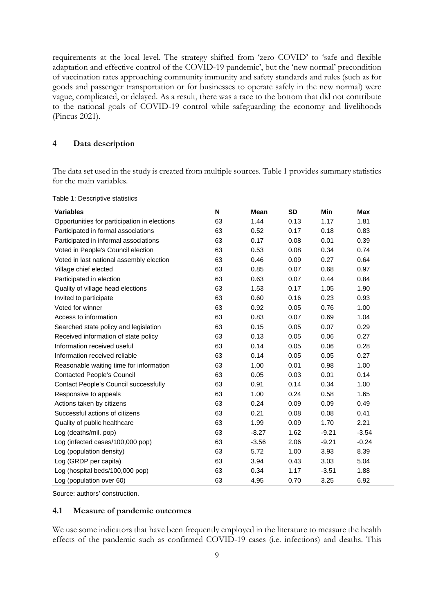requirements at the local level. The strategy shifted from 'zero COVID' to 'safe and flexible adaptation and effective control of the COVID-19 pandemic', but the 'new normal' precondition of vaccination rates approaching community immunity and safety standards and rules (such as for goods and passenger transportation or for businesses to operate safely in the new normal) were vague, complicated, or delayed. As a result, there was a race to the bottom that did not contribute to the national goals of COVID-19 control while safeguarding the economy and livelihoods (Pincus 2021).

## **4 Data description**

The data set used in the study is created from multiple sources. Table 1 provides summary statistics for the main variables.

| <b>Variables</b>                             | N  | Mean    | <b>SD</b> | <b>Min</b> | <b>Max</b> |
|----------------------------------------------|----|---------|-----------|------------|------------|
| Opportunities for participation in elections | 63 | 1.44    | 0.13      | 1.17       | 1.81       |
| Participated in formal associations          | 63 | 0.52    | 0.17      | 0.18       | 0.83       |
| Participated in informal associations        | 63 | 0.17    | 0.08      | 0.01       | 0.39       |
| Voted in People's Council election           | 63 | 0.53    | 0.08      | 0.34       | 0.74       |
| Voted in last national assembly election     | 63 | 0.46    | 0.09      | 0.27       | 0.64       |
| Village chief elected                        | 63 | 0.85    | 0.07      | 0.68       | 0.97       |
| Participated in election                     | 63 | 0.63    | 0.07      | 0.44       | 0.84       |
| Quality of village head elections            | 63 | 1.53    | 0.17      | 1.05       | 1.90       |
| Invited to participate                       | 63 | 0.60    | 0.16      | 0.23       | 0.93       |
| Voted for winner                             | 63 | 0.92    | 0.05      | 0.76       | 1.00       |
| Access to information                        | 63 | 0.83    | 0.07      | 0.69       | 1.04       |
| Searched state policy and legislation        | 63 | 0.15    | 0.05      | 0.07       | 0.29       |
| Received information of state policy         | 63 | 0.13    | 0.05      | 0.06       | 0.27       |
| Information received useful                  | 63 | 0.14    | 0.05      | 0.06       | 0.28       |
| Information received reliable                | 63 | 0.14    | 0.05      | 0.05       | 0.27       |
| Reasonable waiting time for information      | 63 | 1.00    | 0.01      | 0.98       | 1.00       |
| <b>Contacted People's Council</b>            | 63 | 0.05    | 0.03      | 0.01       | 0.14       |
| <b>Contact People's Council successfully</b> | 63 | 0.91    | 0.14      | 0.34       | 1.00       |
| Responsive to appeals                        | 63 | 1.00    | 0.24      | 0.58       | 1.65       |
| Actions taken by citizens                    | 63 | 0.24    | 0.09      | 0.09       | 0.49       |
| Successful actions of citizens               | 63 | 0.21    | 0.08      | 0.08       | 0.41       |
| Quality of public healthcare                 | 63 | 1.99    | 0.09      | 1.70       | 2.21       |
| Log (deaths/mil. pop)                        | 63 | $-8.27$ | 1.62      | $-9.21$    | $-3.54$    |
| Log (infected cases/100,000 pop)             | 63 | $-3.56$ | 2.06      | $-9.21$    | $-0.24$    |
| Log (population density)                     | 63 | 5.72    | 1.00      | 3.93       | 8.39       |
| Log (GRDP per capita)                        | 63 | 3.94    | 0.43      | 3.03       | 5.04       |
| Log (hospital beds/100,000 pop)              | 63 | 0.34    | 1.17      | $-3.51$    | 1.88       |
| Log (population over 60)                     | 63 | 4.95    | 0.70      | 3.25       | 6.92       |

Table 1: Descriptive statistics

Source: authors' construction.

### **4.1 Measure of pandemic outcomes**

We use some indicators that have been frequently employed in the literature to measure the health effects of the pandemic such as confirmed COVID-19 cases (i.e. infections) and deaths. This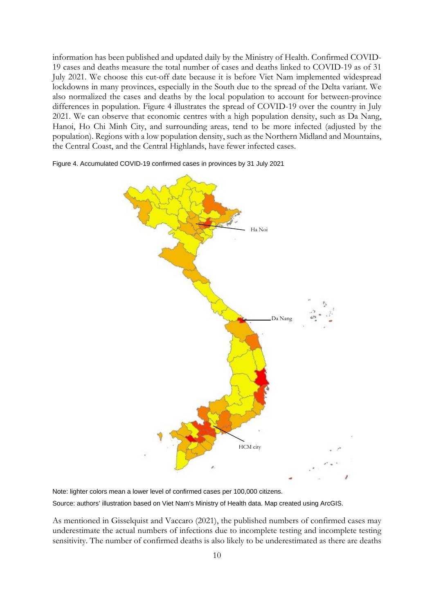information has been published and updated daily by the Ministry of Health. Confirmed COVID-19 cases and deaths measure the total number of cases and deaths linked to COVID-19 as of 31 July 2021. We choose this cut-off date because it is before Viet Nam implemented widespread lockdowns in many provinces, especially in the South due to the spread of the Delta variant. We also normalized the cases and deaths by the local population to account for between-province differences in population. Figure 4 illustrates the spread of COVID-19 over the country in July 2021. We can observe that economic centres with a high population density, such as Da Nang, Hanoi, Ho Chi Minh City, and surrounding areas, tend to be more infected (adjusted by the population). Regions with a low population density, such as the Northern Midland and Mountains, the Central Coast, and the Central Highlands, have fewer infected cases.

> Ha Noi HCM city Da Nang

Figure 4. Accumulated COVID-19 confirmed cases in provinces by 31 July 2021

Note: lighter colors mean a lower level of confirmed cases per 100,000 citizens.

Source: authors' illustration based on Viet Nam's Ministry of Health data. Map created using ArcGIS.

As mentioned in Gisselquist and Vaccaro (2021), the published numbers of confirmed cases may underestimate the actual numbers of infections due to incomplete testing and incomplete testing sensitivity. The number of confirmed deaths is also likely to be underestimated as there are deaths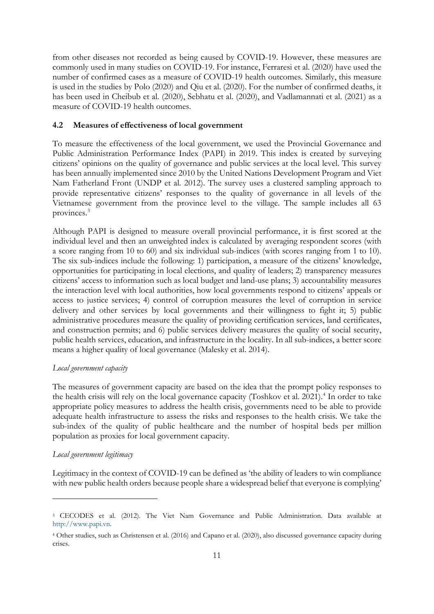from other diseases not recorded as being caused by COVID-19. However, these measures are commonly used in many studies on COVID-19. For instance, Ferraresi et al. (2020) have used the number of confirmed cases as a measure of COVID-19 health outcomes. Similarly, this measure is used in the studies by Polo (2020) and Qiu et al. (2020). For the number of confirmed deaths, it has been used in Cheibub et al. (2020), Sebhatu et al. (2020), and Vadlamannati et al. (2021) as a measure of COVID-19 health outcomes.

## **4.2 Measures of effectiveness of local government**

To measure the effectiveness of the local government, we used the Provincial Governance and Public Administration Performance Index (PAPI) in 2019. This index is created by surveying citizens' opinions on the quality of governance and public services at the local level. This survey has been annually implemented since 2010 by the United Nations Development Program and Viet Nam Fatherland Front (UNDP et al. 2012). The survey uses a clustered sampling approach to provide representative citizens' responses to the quality of governance in all levels of the Vietnamese government from the province level to the village. The sample includes all 63 provinces. [3](#page-10-0)

Although PAPI is designed to measure overall provincial performance, it is first scored at the individual level and then an unweighted index is calculated by averaging respondent scores (with a score ranging from 10 to 60) and six individual sub-indices (with scores ranging from 1 to 10). The six sub-indices include the following: 1) participation, a measure of the citizens' knowledge, opportunities for participating in local elections, and quality of leaders; 2) transparency measures citizens' access to information such as local budget and land-use plans; 3) accountability measures the interaction level with local authorities, how local governments respond to citizens' appeals or access to justice services; 4) control of corruption measures the level of corruption in service delivery and other services by local governments and their willingness to fight it; 5) public administrative procedures measure the quality of providing certification services, land certificates, and construction permits; and 6) public services delivery measures the quality of social security, public health services, education, and infrastructure in the locality. In all sub-indices, a better score means a higher quality of local governance (Malesky et al. 2014).

## *Local government capacity*

The measures of government capacity are based on the idea that the prompt policy responses to the health crisis will rely on the local governance capacity (Toshkov et al. 2021). [4](#page-10-1) In order to take appropriate policy measures to address the health crisis, governments need to be able to provide adequate health infrastructure to assess the risks and responses to the health crisis. We take the sub-index of the quality of public healthcare and the number of hospital beds per million population as proxies for local government capacity.

## *Local government legitimacy*

Legitimacy in the context of COVID-19 can be defined as 'the ability of leaders to win compliance with new public health orders because people share a widespread belief that everyone is complying'

<span id="page-10-0"></span><sup>3</sup> CECODES et al. (2012). The Viet Nam Governance and Public Administration. Data available at [http://www.papi.vn.](http://www.papi.vn/)

<span id="page-10-1"></span><sup>4</sup> Other studies, such as Christensen et al. [\(2016\)](https://www.tandfonline.com/doi/full/10.1080/13501763.2021.1928270) and Capano et al. [\(2020\)](https://www.tandfonline.com/doi/full/10.1080/13501763.2021.1928270), also discussed governance capacity during crises.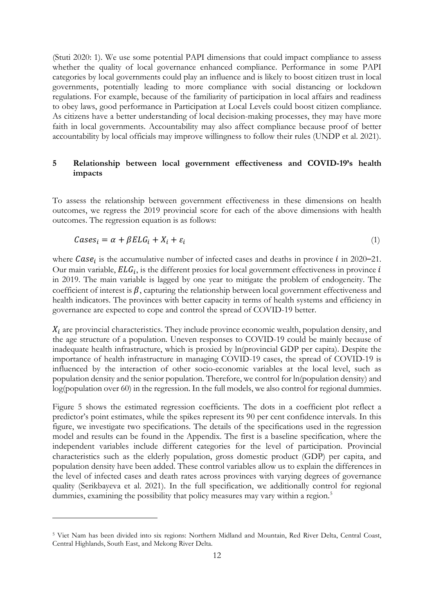(Stuti 2020: 1). We use some potential PAPI dimensions that could impact compliance to assess whether the quality of local governance enhanced compliance. Performance in some PAPI categories by local governments could play an influence and is likely to boost citizen trust in local governments, potentially leading to more compliance with social distancing or lockdown regulations. For example, because of the familiarity of participation in local affairs and readiness to obey laws, good performance in Participation at Local Levels could boost citizen compliance. As citizens have a better understanding of local decision-making processes, they may have more faith in local governments. Accountability may also affect compliance because proof of better accountability by local officials may improve willingness to follow their rules (UNDP et al. 2021).

## **5 Relationship between local government effectiveness and COVID-19's health impacts**

To assess the relationship between government effectiveness in these dimensions on health outcomes, we regress the 2019 provincial score for each of the above dimensions with health outcomes. The regression equation is as follows:

$$
Cases_i = \alpha + \beta ELG_i + X_i + \varepsilon_i \tag{1}
$$

where  $Case<sub>i</sub>$  is the accumulative number of infected cases and deaths in province *i* in 2020–21. Our main variable,  $ELG_i$ , is the different proxies for local government effectiveness in province  $i$ in 2019. The main variable is lagged by one year to mitigate the problem of endogeneity. The coefficient of interest is  $\beta$ , capturing the relationship between local government effectiveness and health indicators. The provinces with better capacity in terms of health systems and efficiency in governance are expected to cope and control the spread of COVID-19 better.

 $X_i$  are provincial characteristics. They include province economic wealth, population density, and the age structure of a population. Uneven responses to COVID-19 could be mainly because of inadequate health infrastructure, which is proxied by ln(provincial GDP per capita). Despite the importance of health infrastructure in managing COVID-19 cases, the spread of COVID-19 is influenced by the interaction of other socio-economic variables at the local level, such as population density and the senior population. Therefore, we control for ln(population density) and log(population over 60) in the regression. In the full models, we also control for regional dummies.

Figure 5 shows the estimated regression coefficients. The dots in a coefficient plot reflect a predictor's point estimates, while the spikes represent its 90 per cent confidence intervals. In this figure, we investigate two specifications. The details of the specifications used in the regression model and results can be found in the Appendix. The first is a baseline specification, where the independent variables include different categories for the level of participation. Provincial characteristics such as the elderly population, gross domestic product (GDP) per capita, and population density have been added. These control variables allow us to explain the differences in the level of infected cases and death rates across provinces with varying degrees of governance quality (Serikbayeva et al. 2021). In the full specification, we additionally control for regional dummies, examining the possibility that policy measures may vary within a region.<sup>[5](#page-11-0)</sup>

<span id="page-11-0"></span><sup>5</sup> Viet Nam has been divided into six regions: Northern Midland and Mountain, Red River Delta, Central Coast, Central Highlands, South East, and Mekong River Delta.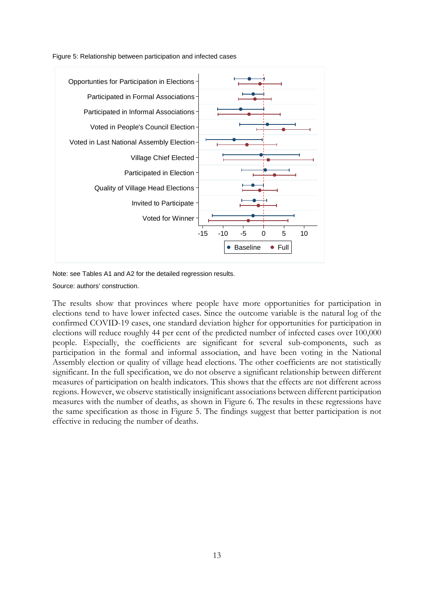![](_page_12_Figure_0.jpeg)

![](_page_12_Figure_1.jpeg)

Note: see Tables A1 and A2 for the detailed regression results.

Source: authors' construction.

The results show that provinces where people have more opportunities for participation in elections tend to have lower infected cases. Since the outcome variable is the natural log of the confirmed COVID-19 cases, one standard deviation higher for opportunities for participation in elections will reduce roughly 44 per cent of the predicted number of infected cases over 100,000 people. Especially, the coefficients are significant for several sub-components, such as participation in the formal and informal association, and have been voting in the National Assembly election or quality of village head elections. The other coefficients are not statistically significant. In the full specification, we do not observe a significant relationship between different measures of participation on health indicators. This shows that the effects are not different across regions. However, we observe statistically insignificant associations between different participation measures with the number of deaths, as shown in Figure 6. The results in these regressions have the same specification as those in Figure 5. The findings suggest that better participation is not effective in reducing the number of deaths.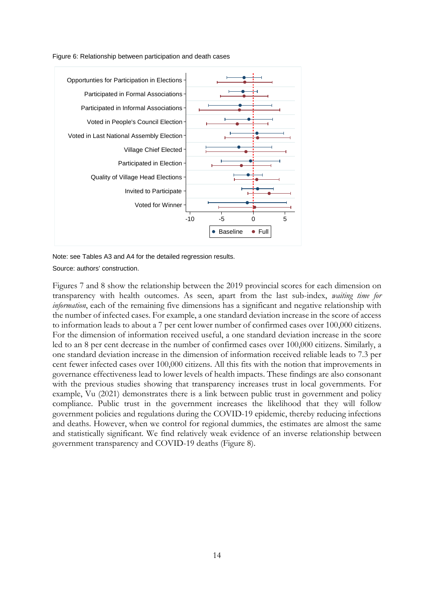Figure 6: Relationship between participation and death cases

![](_page_13_Figure_1.jpeg)

Note: see Tables A3 and A4 for the detailed regression results.

Source: authors' construction.

Figures 7 and 8 show the relationship between the 2019 provincial scores for each dimension on transparency with health outcomes. As seen, apart from the last sub-index, *waiting time for information*, each of the remaining five dimensions has a significant and negative relationship with the number of infected cases. For example, a one standard deviation increase in the score of access to information leads to about a 7 per cent lower number of confirmed cases over 100,000 citizens. For the dimension of information received useful, a one standard deviation increase in the score led to an 8 per cent decrease in the number of confirmed cases over 100,000 citizens. Similarly, a one standard deviation increase in the dimension of information received reliable leads to 7.3 per cent fewer infected cases over 100,000 citizens. All this fits with the notion that improvements in governance effectiveness lead to lower levels of health impacts. These findings are also consonant with the previous studies showing that transparency increases trust in local governments. For example, Vu (2021) demonstrates there is a link between public trust in government and policy compliance. Public trust in the government increases the likelihood that they will follow government policies and regulations during the COVID-19 epidemic, thereby reducing infections and deaths. However, when we control for regional dummies, the estimates are almost the same and statistically significant. We find relatively weak evidence of an inverse relationship between government transparency and COVID-19 deaths (Figure 8).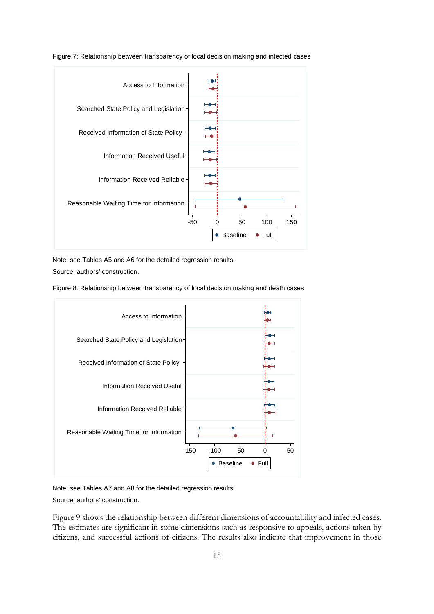![](_page_14_Figure_0.jpeg)

Figure 7: Relationship between transparency of local decision making and infected cases

Note: see Tables A5 and A6 for the detailed regression results.

Source: authors' construction.

Figure 8: Relationship between transparency of local decision making and death cases

![](_page_14_Figure_5.jpeg)

Note: see Tables A7 and A8 for the detailed regression results.

Source: authors' construction.

Figure 9 shows the relationship between different dimensions of accountability and infected cases. The estimates are significant in some dimensions such as responsive to appeals, actions taken by citizens, and successful actions of citizens. The results also indicate that improvement in those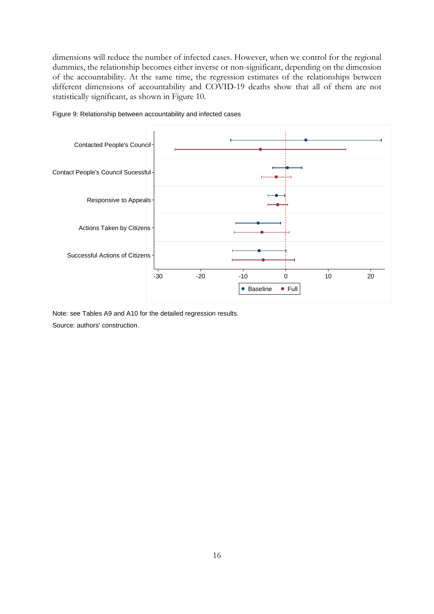dimensions will reduce the number of infected cases. However, when we control for the regional dummies, the relationship becomes either inverse or non-significant, depending on the dimension of the accountability. At the same time, the regression estimates of the relationships between different dimensions of accountability and COVID-19 deaths show that all of them are not statistically significant, as shown in Figure 10.

![](_page_15_Figure_1.jpeg)

Figure 9: Relationship between accountability and infected cases

Note: see Tables A9 and A10 for the detailed regression results.

Source: authors' construction.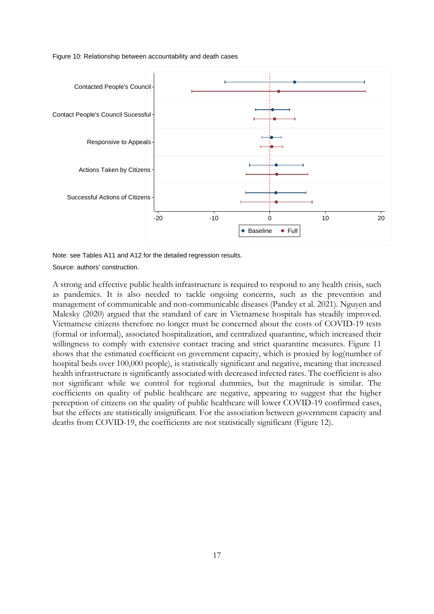Figure 10: Relationship between accountability and death cases

![](_page_16_Figure_1.jpeg)

Note: see Tables A11 and A12 for the detailed regression results.

Source: authors' construction.

A strong and effective public health infrastructure is required to respond to any health crisis, such as pandemics. It is also needed to tackle ongoing concerns, such as the prevention and management of communicable and non-communicable diseases (Pandey et al. 2021). Nguyen and Malesky (2020) argued that the standard of care in Vietnamese hospitals has steadily improved. Vietnamese citizens therefore no longer must be concerned about the costs of COVID-19 tests (formal or informal), associated hospitalization, and centralized quarantine, which increased their willingness to comply with extensive contact tracing and strict quarantine measures. Figure 11 shows that the estimated coefficient on government capacity, which is proxied by log(number of hospital beds over 100,000 people), is statistically significant and negative, meaning that increased health infrastructure is significantly associated with decreased infected rates. The coefficient is also not significant while we control for regional dummies, but the magnitude is similar. The coefficients on quality of public healthcare are negative, appearing to suggest that the higher perception of citizens on the quality of public healthcare will lower COVID-19 confirmed cases, but the effects are statistically insignificant. For the association between government capacity and deaths from COVID-19, the coefficients are not statistically significant (Figure 12).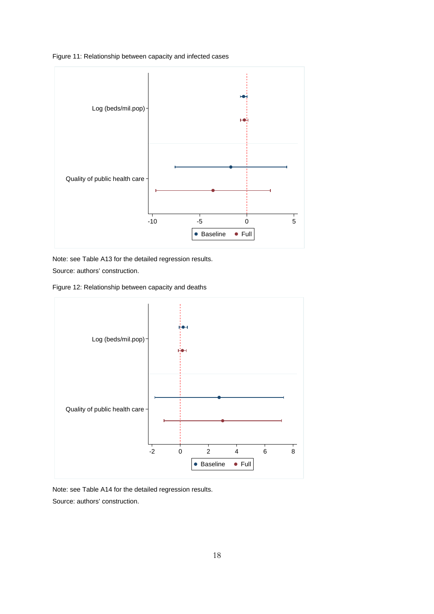Figure 11: Relationship between capacity and infected cases

![](_page_17_Figure_1.jpeg)

Note: see Table A13 for the detailed regression results.

Source: authors' construction.

Figure 12: Relationship between capacity and deaths

![](_page_17_Figure_5.jpeg)

Note: see Table A14 for the detailed regression results.

Source: authors' construction.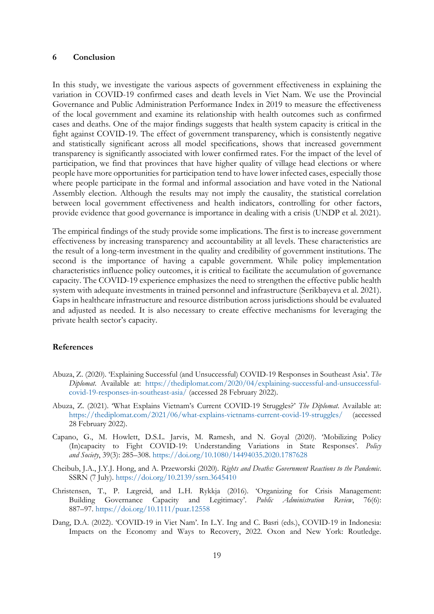### **6 Conclusion**

In this study, we investigate the various aspects of government effectiveness in explaining the variation in COVID-19 confirmed cases and death levels in Viet Nam. We use the Provincial Governance and Public Administration Performance Index in 2019 to measure the effectiveness of the local government and examine its relationship with health outcomes such as confirmed cases and deaths. One of the major findings suggests that health system capacity is critical in the fight against COVID-19. The effect of government transparency, which is consistently negative and statistically significant across all model specifications, shows that increased government transparency is significantly associated with lower confirmed rates. For the impact of the level of participation, we find that provinces that have higher quality of village head elections or where people have more opportunities for participation tend to have lower infected cases, especially those where people participate in the formal and informal association and have voted in the National Assembly election. Although the results may not imply the causality, the statistical correlation between local government effectiveness and health indicators, controlling for other factors, provide evidence that good governance is importance in dealing with a crisis (UNDP et al. 2021).

The empirical findings of the study provide some implications. The first is to increase government effectiveness by increasing transparency and accountability at all levels. These characteristics are the result of a long-term investment in the quality and credibility of government institutions. The second is the importance of having a capable government. While policy implementation characteristics influence policy outcomes, it is critical to facilitate the accumulation of governance capacity. The COVID-19 experience emphasizes the need to strengthen the effective public health system with adequate investments in trained personnel and infrastructure (Serikbayeva et al. 2021). Gaps in healthcare infrastructure and resource distribution across jurisdictions should be evaluated and adjusted as needed. It is also necessary to create effective mechanisms for leveraging the private health sector's capacity.

#### **References**

- Abuza, Z. (2020). 'Explaining Successful (and Unsuccessful) COVID-19 Responses in Southeast Asia'. *The Diplomat*. Available at: [https://thediplomat.com/2020/04/explaining-successful-and-unsuccessful](https://thediplomat.com/2020/04/explaining-successful-and-unsuccessful-covid-19-responses-in-southeast-asia/)[covid-19-responses-in-southeast-asia/](https://thediplomat.com/2020/04/explaining-successful-and-unsuccessful-covid-19-responses-in-southeast-asia/) (accessed 28 February 2022).
- Abuza, Z. (2021). 'What Explains Vietnam's Current COVID-19 Struggles?' *The Diplomat*. Available at: <https://thediplomat.com/2021/06/what-explains-vietnams-current-covid-19-struggles/> (accessed 28 February 2022).
- Capano, G., M. Howlett, D.S.L. Jarvis, M. Ramesh, and N. Goyal (2020). 'Mobilizing Policy (In)capacity to Fight COVID-19: Understanding Variations in State Responses'. *Policy and Society*, 39(3): 285–308.<https://doi.org/10.1080/14494035.2020.1787628>
- Cheibub, J.A., J.Y.J. Hong, and A. Przeworski (2020). *Rights and Deaths: Government Reactions to the Pandemic*. SSRN (7 July).<https://doi.org/10.2139/ssrn.3645410>
- Christensen, T., P. Lægreid, and L.H. Rykkja (2016). 'Organizing for Crisis Management: Building Governance Capacity and Legitimacy'. *Public Administration Review*, 76(6): 887–97.<https://doi.org/10.1111/puar.12558>
- Dang, D.A. (2022). 'COVID-19 in Viet Nam'. In L.Y. Ing and C. Basri (eds.), COVID-19 in Indonesia: Impacts on the Economy and Ways to Recovery, 2022. Oxon and New York: Routledge.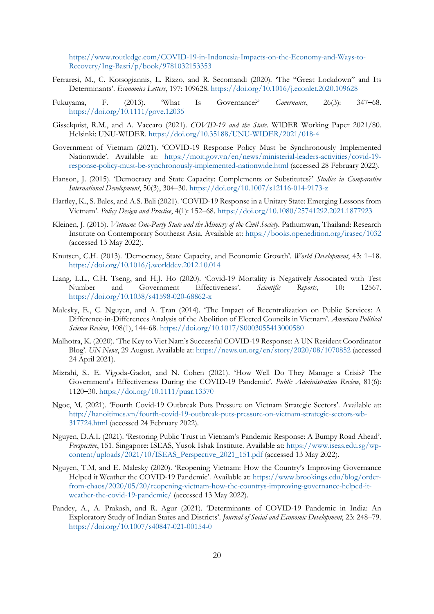[https://www.routledge.com/COVID-19-in-Indonesia-Impacts-on-the-Economy-and-Ways-to-](https://www.routledge.com/COVID-19-in-Indonesia-Impacts-on-the-Economy-and-Ways-to-Recovery/Ing-Basri/p/book/9781032153353)[Recovery/Ing-Basri/p/book/9781032153353](https://www.routledge.com/COVID-19-in-Indonesia-Impacts-on-the-Economy-and-Ways-to-Recovery/Ing-Basri/p/book/9781032153353)

- Ferraresi, M., C. Kotsogiannis, L. Rizzo, and R. Secomandi (2020). 'The "Great Lockdown" and Its Determinants'. *Economics Letters*, 197: 109628.<https://doi.org/10.1016/j.econlet.2020.109628>
- Fukuyama, F. (2013). 'What Is Governance?' *Governance*, 26(3): 347–68. <https://doi.org/10.1111/gove.12035>
- Gisselquist, R.M., and A. Vaccaro (2021). *COVID-19 and the State*. WIDER Working Paper 2021/80. Helsinki: UNU-WIDER.<https://doi.org/10.35188/UNU-WIDER/2021/018-4>
- Government of Vietnam (2021). 'COVID-19 Response Policy Must be Synchronously Implemented Nationwide'. Available at: [https://moit.gov.vn/en/news/ministerial-leaders-activities/covid-19](https://moit.gov.vn/en/news/ministerial-leaders-activities/covid-19-response-policy-must-be-synchronously-implemented-nationwide.html) [response-policy-must-be-synchronously-implemented-nationwide.html](https://moit.gov.vn/en/news/ministerial-leaders-activities/covid-19-response-policy-must-be-synchronously-implemented-nationwide.html) (accessed 28 February 2022).
- Hanson, J. (2015). 'Democracy and State Capacity: Complements or Substitutes?' *Studies in Comparative International Development*, 50(3), 304–30.<https://doi.org/10.1007/s12116-014-9173-z>
- Hartley, K., S. Bales, and A.S. Bali (2021). 'COVID-19 Response in a Unitary State: Emerging Lessons from Vietnam'. *Policy Design and Practice*, 4(1): 152–68. <https://doi.org/10.1080/25741292.2021.1877923>
- Kleinen, J. (2015). *[Vietnam: One-Party State and the Mimicry of the Civil Society.](https://books.openedition.org/irasec/1032)* Pathumwan, Thailand: Research Institute on Contemporary Southeast Asia. Available at:<https://books.openedition.org/irasec/1032> (accessed 13 May 2022).
- Knutsen, C.H. (2013). 'Democracy, State Capacity, and Economic Growth'. *World Development*, 43: 1–18. <https://doi.org/10.1016/j.worlddev.2012.10.014>
- Liang, L.L., C.H. Tseng, and H.J. Ho (2020). 'Covid-19 Mortality is Negatively Associated with Test Number and Government Effectiveness'. *Scientific Reports,* 10**:** 12567. <https://doi.org/10.1038/s41598-020-68862-x>
- Malesky, E., C. Nguyen, and A. Tran (2014). 'The Impact of Recentralization on Public Services: A Difference-in-Differences Analysis of the Abolition of Elected Councils in Vietnam'. *American Political Science Review*, 108(1), 144-68.<https://doi.org/10.1017/S0003055413000580>
- Malhotra, K. (2020). 'The Key to Viet Nam's Successful COVID-19 Response: A UN Resident Coordinator Blog'. *UN News*, 29 August. Available at:<https://news.un.org/en/story/2020/08/1070852> (accessed 24 April 2021).
- Mizrahi, S., E. [Vigoda-Gadot,](https://onlinelibrary.wiley.com/action/doSearch?ContribAuthorRaw=Vigoda-Gadot%2C+Eran) and N. [Cohen](https://onlinelibrary.wiley.com/action/doSearch?ContribAuthorRaw=Cohen%2C+Nissim) (2021). 'How Well Do They Manage a Crisis? The Government's Effectiveness During the COVID-19 Pandemic'. *Public Administration Review*, 81(6): 1120–30.<https://doi.org/10.1111/puar.13370>
- Ngoc, M. (2021). 'Fourth Covid-19 Outbreak Puts Pressure on Vietnam Strategic Sectors'. Available at: [http://hanoitimes.vn/fourth-covid-19-outbreak-puts-pressure-on-vietnam-strategic-sectors-wb-](http://hanoitimes.vn/fourth-covid-19-outbreak-puts-pressure-on-vietnam-strategic-sectors-wb-317724.html)[317724.html](http://hanoitimes.vn/fourth-covid-19-outbreak-puts-pressure-on-vietnam-strategic-sectors-wb-317724.html) (accessed 24 February 2022).
- Nguyen, D.A.L (2021). 'Restoring Public Trust in Vietnam's Pandemic Response: A Bumpy Road Ahead'. *Perspective*, 151. Singapore: ISEAS, Yusok Ishak Institute. Available at: [https://www.iseas.edu.sg/wp](https://www.iseas.edu.sg/wp-content/uploads/2021/10/ISEAS_Perspective_2021_151.pdf)[content/uploads/2021/10/ISEAS\\_Perspective\\_2021\\_151.pdf](https://www.iseas.edu.sg/wp-content/uploads/2021/10/ISEAS_Perspective_2021_151.pdf) (accessed 13 May 2022).
- Nguyen, T.M, and E. Malesky (2020). 'Reopening Vietnam: How the Country's Improving Governance Helped it Weather the COVID-19 Pandemic'. Available at: [https://www.brookings.edu/blog/order](https://www.brookings.edu/blog/order-from-chaos/2020/05/20/reopening-vietnam-how-the-countrys-improving-governance-helped-it-weather-the-covid-19-pandemic/)[from-chaos/2020/05/20/reopening-vietnam-how-the-countrys-improving-governance-helped-it](https://www.brookings.edu/blog/order-from-chaos/2020/05/20/reopening-vietnam-how-the-countrys-improving-governance-helped-it-weather-the-covid-19-pandemic/)[weather-the-covid-19-pandemic/](https://www.brookings.edu/blog/order-from-chaos/2020/05/20/reopening-vietnam-how-the-countrys-improving-governance-helped-it-weather-the-covid-19-pandemic/) (accessed 13 May 2022).
- Pandey, A., A. Prakash, and R. Agur (2021). 'Determinants of COVID-19 Pandemic in India: An Exploratory Study of Indian States and Districts'. *Journal of Social and Economic Development*, 23: 248–79. <https://doi.org/10.1007/s40847-021-00154-0>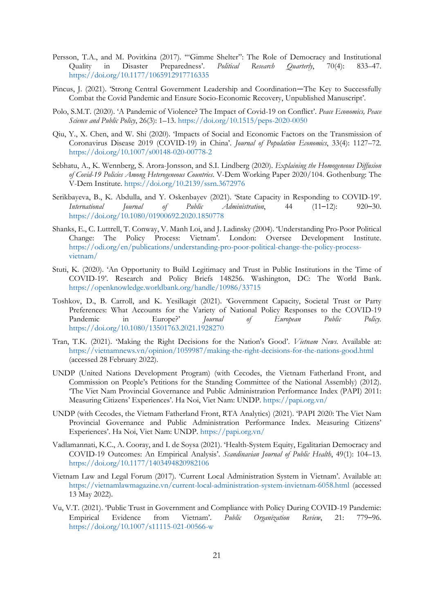- Persson, T.A., and M. Povitkina (2017). '"Gimme Shelter": The Role of Democracy and Institutional Quality in Disaster Preparedness'. *Political Research Quarterly*, 70(4): 833–47. <https://doi.org/10.1177/1065912917716335>
- Pincus, J. (2021). 'Strong Central Government Leadership and Coordination—The Key to Successfully Combat the Covid Pandemic and Ensure Socio-Economic Recovery, Unpublished Manuscript'.
- Polo, S.M.T. (2020). 'A Pandemic of Violence? The Impact of Covid-19 on Conflict'. *Peace Economics, Peace Science and Public Policy*, 26(3): 1–13.<https://doi.org/10.1515/peps-2020-0050>
- Qiu, Y., X. Chen, and W. Shi (2020). 'Impacts of Social and Economic Factors on the Transmission of Coronavirus Disease 2019 (COVID-19) in China'. *Journal of Population Economics*, 33(4): 1127–72. <https://doi.org/10.1007/s00148-020-00778-2>
- Sebhatu, A., K. Wennberg, S. Arora-Jonsson, and S.I. Lindberg (2020). *Explaining the Homogeneous Diffusion of Covid-19 Policies Among Heterogeneous Countries*. V-Dem Working Paper 2020/104. Gothenburg: The V-Dem Institute.<https://doi.org/10.2139/ssrn.3672976>
- Serikbayeva, B., K. Abdulla, and Y. Oskenbayev (2021). 'State Capacity in Responding to COVID-19'. *International Journal of Public Administration*, 44 (11–12): 920–30. <https://doi.org/10.1080/01900692.2020.1850778>
- Shanks, E., C. Luttrell, T. Conway, V. Manh Loi, and J. Ladinsky (2004). 'Understanding Pro-Poor Political Change: The Policy Process: Vietnam'. London: Oversee Development Institute. [https://odi.org/en/publications/understanding-pro-poor-political-change-the-policy-process](https://odi.org/en/publications/understanding-pro-poor-political-change-the-policy-process-vietnam/)[vietnam/](https://odi.org/en/publications/understanding-pro-poor-political-change-the-policy-process-vietnam/)
- Stuti, K. (2020). ['An Opportunity to Build Legitimacy and Trust in Public Institutions in the Time of](https://ideas.repec.org/p/wbk/wbkrpb/148256.html)  [COVID-19'](https://ideas.repec.org/p/wbk/wbkrpb/148256.html). [Research and Policy Briefs](https://ideas.repec.org/s/wbk/wbkrpb.html) 148256. Washington, DC: The World Bank. <https://openknowledge.worldbank.org/handle/10986/33715>
- Toshkov, D., B. Carroll, and K. Yesilkagit (2021). 'Government Capacity, Societal Trust or Party Preferences: What Accounts for the Variety of National Policy Responses to the COVID-19 Pandemic in Europe?' *Journal of European Public Policy.* <https://doi.org/10.1080/13501763.2021.1928270>
- Tran, T.K. (2021). 'Making the Right Decisions for the Nation's Good'. *Vietnam News*. Available at: <https://vietnamnews.vn/opinion/1059987/making-the-right-decisions-for-the-nations-good.html> (accessed 28 February 2022).
- UNDP (United Nations Development Program) (with Cecodes, the Vietnam Fatherland Front, and Commission on People's Petitions for the Standing Committee of the National Assembly) (2012). 'The Viet Nam Provincial Governance and Public Administration Performance Index (PAPI) 2011: Measuring Citizens' Experiences'. Ha Noi, Viet Nam: UNDP.<https://papi.org.vn/>
- UNDP (with Cecodes, the Vietnam Fatherland Front, RTA Analytics) (2021). 'PAPI 2020: The Viet Nam Provincial Governance and Public Administration Performance Index. Measuring Citizens' Experiences'. Ha Noi, Viet Nam: UNDP.<https://papi.org.vn/>
- Vadlamannati, K.C., A. Cooray, and I. de Soysa (2021). 'Health-System Equity, Egalitarian Democracy and COVID-19 Outcomes: An Empirical Analysis'. *Scandinavian Journal of Public Health*, 49(1): 104–13. <https://doi.org/10.1177/1403494820982106>
- Vietnam Law and Legal Forum (2017). 'Current Local Administration System in Vietnam'. Available at: <https://vietnamlawmagazine.vn/current-local-administration-system-invietnam-6058.html> (accessed 13 May 2022).
- Vu, V.T. (2021). 'Public Trust in Government and Compliance with Policy During COVID-19 Pandemic: Empirical Evidence from Vietnam'. *Public Organization Review*, 21: 779–96. <https://doi.org/10.1007/s11115-021-00566-w>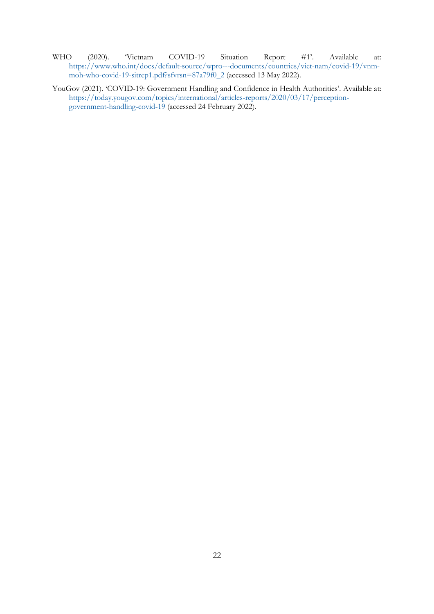- WHO (2020). 'Vietnam COVID-19 Situation Report #1'. Available at: [https://www.who.int/docs/default-source/wpro---documents/countries/viet-nam/covid-19/vnm](https://www.who.int/docs/default-source/wpro---documents/countries/viet-nam/covid-19/vnm-moh-who-covid-19-sitrep1.pdf?sfvrsn=87a79f0_2)[moh-who-covid-19-sitrep1.pdf?sfvrsn=87a79f0\\_2](https://www.who.int/docs/default-source/wpro---documents/countries/viet-nam/covid-19/vnm-moh-who-covid-19-sitrep1.pdf?sfvrsn=87a79f0_2) (accessed 13 May 2022).
- YouGov (2021). 'COVID-19: Government Handling and Confidence in Health Authorities'. Available at: [https://today.yougov.com/topics/international/articles-reports/2020/03/17/perception](https://today.yougov.com/topics/international/articles-reports/2020/03/17/perception-government-handling-covid-19)[government-handling-covid-19](https://today.yougov.com/topics/international/articles-reports/2020/03/17/perception-government-handling-covid-19) (accessed 24 February 2022).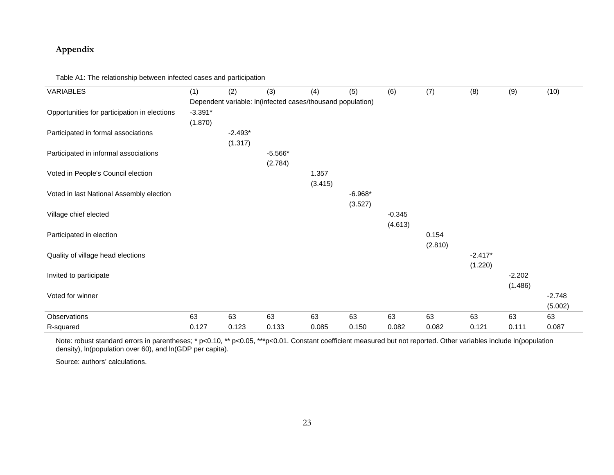## **Appendix**

Table A1: The relationship between infected cases and participation

| VARIABLES                                    | (1)       | (2)       | (3)                                                        | (4)     | (5)       | (6)      | (7)     | (8)       | (9)      | (10)     |
|----------------------------------------------|-----------|-----------|------------------------------------------------------------|---------|-----------|----------|---------|-----------|----------|----------|
|                                              |           |           | Dependent variable: In(infected cases/thousand population) |         |           |          |         |           |          |          |
| Opportunities for participation in elections | $-3.391*$ |           |                                                            |         |           |          |         |           |          |          |
|                                              | (1.870)   |           |                                                            |         |           |          |         |           |          |          |
| Participated in formal associations          |           | $-2.493*$ |                                                            |         |           |          |         |           |          |          |
|                                              |           | (1.317)   |                                                            |         |           |          |         |           |          |          |
| Participated in informal associations        |           |           | $-5.566*$                                                  |         |           |          |         |           |          |          |
|                                              |           |           | (2.784)                                                    |         |           |          |         |           |          |          |
| Voted in People's Council election           |           |           |                                                            | 1.357   |           |          |         |           |          |          |
|                                              |           |           |                                                            | (3.415) |           |          |         |           |          |          |
| Voted in last National Assembly election     |           |           |                                                            |         | $-6.968*$ |          |         |           |          |          |
|                                              |           |           |                                                            |         | (3.527)   |          |         |           |          |          |
| Village chief elected                        |           |           |                                                            |         |           | $-0.345$ |         |           |          |          |
|                                              |           |           |                                                            |         |           | (4.613)  |         |           |          |          |
| Participated in election                     |           |           |                                                            |         |           |          | 0.154   |           |          |          |
|                                              |           |           |                                                            |         |           |          | (2.810) |           |          |          |
| Quality of village head elections            |           |           |                                                            |         |           |          |         | $-2.417*$ |          |          |
|                                              |           |           |                                                            |         |           |          |         | (1.220)   |          |          |
| Invited to participate                       |           |           |                                                            |         |           |          |         |           | $-2.202$ |          |
|                                              |           |           |                                                            |         |           |          |         |           | (1.486)  |          |
| Voted for winner                             |           |           |                                                            |         |           |          |         |           |          | $-2.748$ |
|                                              |           |           |                                                            |         |           |          |         |           |          | (5.002)  |
| Observations                                 | 63        | 63        | 63                                                         | 63      | 63        | 63       | 63      | 63        | 63       | 63       |
| R-squared                                    | 0.127     | 0.123     | 0.133                                                      | 0.085   | 0.150     | 0.082    | 0.082   | 0.121     | 0.111    | 0.087    |

Note: robust standard errors in parentheses; \* p<0.10, \*\* p<0.05, \*\*\*p<0.01. Constant coefficient measured but not reported. Other variables include In(population density), ln(population over 60), and ln(GDP per capita).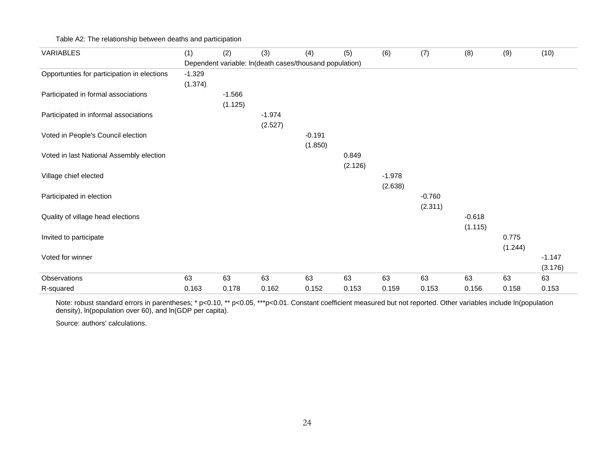## Table A2: The relationship between deaths and participation

| VARIABLES                                   | (1)      | (2)      | (3)                                                     | (4)      | (5)     | (6)      | (7)      | (8)      | (9)     | (10)     |
|---------------------------------------------|----------|----------|---------------------------------------------------------|----------|---------|----------|----------|----------|---------|----------|
|                                             |          |          | Dependent variable: In(death cases/thousand population) |          |         |          |          |          |         |          |
| Opportunties for participation in elections | $-1.329$ |          |                                                         |          |         |          |          |          |         |          |
|                                             | (1.374)  |          |                                                         |          |         |          |          |          |         |          |
| Participated in formal associations         |          | $-1.566$ |                                                         |          |         |          |          |          |         |          |
|                                             |          | (1.125)  |                                                         |          |         |          |          |          |         |          |
| Participated in informal associations       |          |          | $-1.974$                                                |          |         |          |          |          |         |          |
|                                             |          |          | (2.527)                                                 |          |         |          |          |          |         |          |
| Voted in People's Council election          |          |          |                                                         | $-0.191$ |         |          |          |          |         |          |
|                                             |          |          |                                                         | (1.850)  |         |          |          |          |         |          |
| Voted in last National Assembly election    |          |          |                                                         |          | 0.849   |          |          |          |         |          |
|                                             |          |          |                                                         |          | (2.126) |          |          |          |         |          |
| Village chief elected                       |          |          |                                                         |          |         | $-1.978$ |          |          |         |          |
|                                             |          |          |                                                         |          |         | (2.638)  |          |          |         |          |
| Participated in election                    |          |          |                                                         |          |         |          | $-0.760$ |          |         |          |
|                                             |          |          |                                                         |          |         |          | (2.311)  |          |         |          |
| Quality of village head elections           |          |          |                                                         |          |         |          |          | $-0.618$ |         |          |
|                                             |          |          |                                                         |          |         |          |          | (1.115)  |         |          |
| Invited to participate                      |          |          |                                                         |          |         |          |          |          | 0.775   |          |
|                                             |          |          |                                                         |          |         |          |          |          | (1.244) |          |
| Voted for winner                            |          |          |                                                         |          |         |          |          |          |         | $-1.147$ |
|                                             |          |          |                                                         |          |         |          |          |          |         | (3.176)  |
| Observations                                | 63       | 63       | 63                                                      | 63       | 63      | 63       | 63       | 63       | 63      | 63       |
| R-squared                                   | 0.163    | 0.178    | 0.162                                                   | 0.152    | 0.153   | 0.159    | 0.153    | 0.156    | 0.158   | 0.153    |

Note: robust standard errors in parentheses; \* p<0.10, \*\* p<0.05, \*\*\*p<0.01. Constant coefficient measured but not reported. Other variables include In(population density), ln(population over 60), and ln(GDP per capita).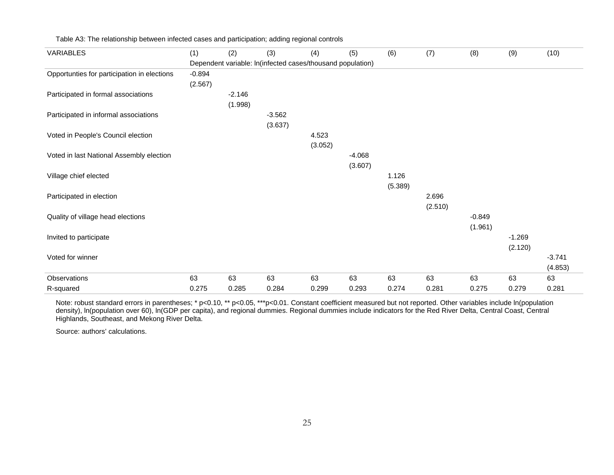| <b>VARIABLES</b>                            | (1)      | (2)      | (3)      | (4)                                                        | (5)      | (6)     | (7)     | (8)      | (9)      | (10)     |
|---------------------------------------------|----------|----------|----------|------------------------------------------------------------|----------|---------|---------|----------|----------|----------|
|                                             |          |          |          | Dependent variable: In(infected cases/thousand population) |          |         |         |          |          |          |
| Opportunties for participation in elections | $-0.894$ |          |          |                                                            |          |         |         |          |          |          |
|                                             | (2.567)  |          |          |                                                            |          |         |         |          |          |          |
| Participated in formal associations         |          | $-2.146$ |          |                                                            |          |         |         |          |          |          |
|                                             |          | (1.998)  |          |                                                            |          |         |         |          |          |          |
| Participated in informal associations       |          |          | $-3.562$ |                                                            |          |         |         |          |          |          |
|                                             |          |          | (3.637)  |                                                            |          |         |         |          |          |          |
| Voted in People's Council election          |          |          |          | 4.523                                                      |          |         |         |          |          |          |
|                                             |          |          |          | (3.052)                                                    |          |         |         |          |          |          |
| Voted in last National Assembly election    |          |          |          |                                                            | $-4.068$ |         |         |          |          |          |
|                                             |          |          |          |                                                            | (3.607)  |         |         |          |          |          |
| Village chief elected                       |          |          |          |                                                            |          | 1.126   |         |          |          |          |
|                                             |          |          |          |                                                            |          | (5.389) |         |          |          |          |
| Participated in election                    |          |          |          |                                                            |          |         | 2.696   |          |          |          |
|                                             |          |          |          |                                                            |          |         | (2.510) |          |          |          |
| Quality of village head elections           |          |          |          |                                                            |          |         |         | $-0.849$ |          |          |
|                                             |          |          |          |                                                            |          |         |         | (1.961)  |          |          |
| Invited to participate                      |          |          |          |                                                            |          |         |         |          | $-1.269$ |          |
|                                             |          |          |          |                                                            |          |         |         |          | (2.120)  |          |
| Voted for winner                            |          |          |          |                                                            |          |         |         |          |          | $-3.741$ |
|                                             |          |          |          |                                                            |          |         |         |          |          | (4.853)  |
| Observations                                | 63       | 63       | 63       | 63                                                         | 63       | 63      | 63      | 63       | 63       | 63       |
| R-squared                                   | 0.275    | 0.285    | 0.284    | 0.299                                                      | 0.293    | 0.274   | 0.281   | 0.275    | 0.279    | 0.281    |

Table A3: The relationship between infected cases and participation; adding regional controls

Note: robust standard errors in parentheses; \* p<0.10, \*\* p<0.05, \*\*\*p<0.01. Constant coefficient measured but not reported. Other variables include ln(population density), ln(population over 60), ln(GDP per capita), and regional dummies. Regional dummies include indicators for the Red River Delta, Central Coast, Central Highlands, Southeast, and Mekong River Delta.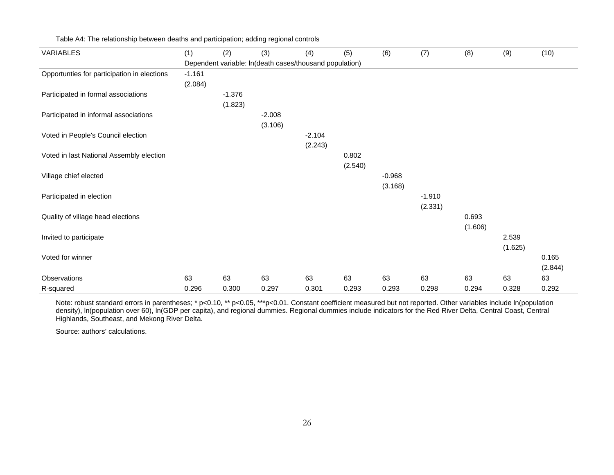| <b>VARIABLES</b>                            | (1)      | (2)      | (3)      | (4)                                                     | (5)     | (6)      | (7)      | (8)     | (9)     | (10)    |
|---------------------------------------------|----------|----------|----------|---------------------------------------------------------|---------|----------|----------|---------|---------|---------|
|                                             |          |          |          | Dependent variable: In(death cases/thousand population) |         |          |          |         |         |         |
| Opportunties for participation in elections | $-1.161$ |          |          |                                                         |         |          |          |         |         |         |
|                                             | (2.084)  |          |          |                                                         |         |          |          |         |         |         |
| Participated in formal associations         |          | $-1.376$ |          |                                                         |         |          |          |         |         |         |
|                                             |          | (1.823)  |          |                                                         |         |          |          |         |         |         |
| Participated in informal associations       |          |          | $-2.008$ |                                                         |         |          |          |         |         |         |
|                                             |          |          | (3.106)  |                                                         |         |          |          |         |         |         |
| Voted in People's Council election          |          |          |          | $-2.104$                                                |         |          |          |         |         |         |
|                                             |          |          |          | (2.243)                                                 |         |          |          |         |         |         |
| Voted in last National Assembly election    |          |          |          |                                                         | 0.802   |          |          |         |         |         |
|                                             |          |          |          |                                                         | (2.540) |          |          |         |         |         |
| Village chief elected                       |          |          |          |                                                         |         | $-0.968$ |          |         |         |         |
|                                             |          |          |          |                                                         |         | (3.168)  |          |         |         |         |
| Participated in election                    |          |          |          |                                                         |         |          | $-1.910$ |         |         |         |
|                                             |          |          |          |                                                         |         |          | (2.331)  |         |         |         |
| Quality of village head elections           |          |          |          |                                                         |         |          |          | 0.693   |         |         |
|                                             |          |          |          |                                                         |         |          |          | (1.606) |         |         |
| Invited to participate                      |          |          |          |                                                         |         |          |          |         | 2.539   |         |
|                                             |          |          |          |                                                         |         |          |          |         | (1.625) |         |
| Voted for winner                            |          |          |          |                                                         |         |          |          |         |         | 0.165   |
|                                             |          |          |          |                                                         |         |          |          |         |         | (2.844) |
| Observations                                | 63       | 63       | 63       | 63                                                      | 63      | 63       | 63       | 63      | 63      | 63      |
| R-squared                                   | 0.296    | 0.300    | 0.297    | 0.301                                                   | 0.293   | 0.293    | 0.298    | 0.294   | 0.328   | 0.292   |

Table A4: The relationship between deaths and participation; adding regional controls

Note: robust standard errors in parentheses; \* p<0.10, \*\* p<0.05, \*\*\*p<0.01. Constant coefficient measured but not reported. Other variables include ln(population density), ln(population over 60), ln(GDP per capita), and regional dummies. Regional dummies include indicators for the Red River Delta, Central Coast, Central Highlands, Southeast, and Mekong River Delta.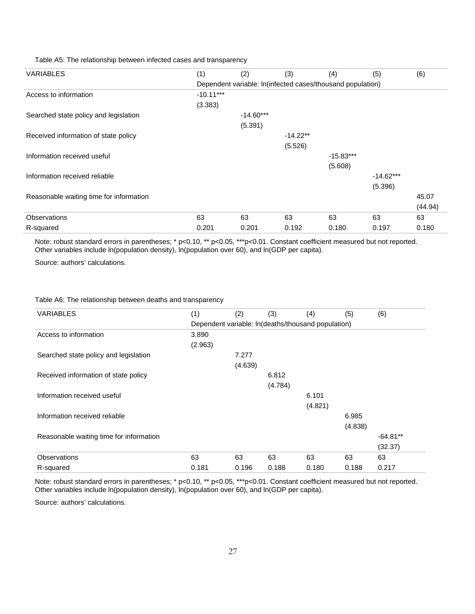Table A5: The relationship between infected cases and transparency

| <b>VARIABLES</b>                        | (1)                                                        | (2)         | (3)        | (4)         | (5)         | (6)     |  |  |  |  |  |
|-----------------------------------------|------------------------------------------------------------|-------------|------------|-------------|-------------|---------|--|--|--|--|--|
|                                         | Dependent variable: In(infected cases/thousand population) |             |            |             |             |         |  |  |  |  |  |
| Access to information                   | $-10.11***$                                                |             |            |             |             |         |  |  |  |  |  |
|                                         | (3.383)                                                    |             |            |             |             |         |  |  |  |  |  |
| Searched state policy and legislation   |                                                            | $-14.60***$ |            |             |             |         |  |  |  |  |  |
|                                         |                                                            | (5.391)     |            |             |             |         |  |  |  |  |  |
| Received information of state policy    |                                                            |             | $-14.22**$ |             |             |         |  |  |  |  |  |
|                                         |                                                            |             | (5.526)    |             |             |         |  |  |  |  |  |
| Information received useful             |                                                            |             |            | $-15.83***$ |             |         |  |  |  |  |  |
|                                         |                                                            |             |            | (5.608)     |             |         |  |  |  |  |  |
| Information received reliable           |                                                            |             |            |             | $-14.62***$ |         |  |  |  |  |  |
|                                         |                                                            |             |            |             | (5.396)     |         |  |  |  |  |  |
| Reasonable waiting time for information |                                                            |             |            |             |             | 45.07   |  |  |  |  |  |
|                                         |                                                            |             |            |             |             | (44.94) |  |  |  |  |  |
| <b>Observations</b>                     | 63                                                         | 63          | 63         | 63          | 63          | 63      |  |  |  |  |  |
| R-squared                               | 0.201                                                      | 0.201       | 0.192      | 0.180       | 0.197       | 0.180   |  |  |  |  |  |

Note: robust standard errors in parentheses; \* p<0.10, \*\* p<0.05, \*\*\*p<0.01. Constant coefficient measured but not reported. Other variables include ln(population density), ln(population over 60), and ln(GDP per capita).

Source: authors' calculations.

#### Table A6: The relationship between deaths and transparency

| <b>VARIABLES</b>                        | (1)     | (2)     | (3)     | (4)                                                | (5)     | (6)        |
|-----------------------------------------|---------|---------|---------|----------------------------------------------------|---------|------------|
|                                         |         |         |         | Dependent variable: In(deaths/thousand population) |         |            |
| Access to information                   | 3.890   |         |         |                                                    |         |            |
|                                         | (2.963) |         |         |                                                    |         |            |
| Searched state policy and legislation   |         | 7.277   |         |                                                    |         |            |
|                                         |         | (4.639) |         |                                                    |         |            |
| Received information of state policy    |         |         | 6.812   |                                                    |         |            |
|                                         |         |         | (4.784) |                                                    |         |            |
| Information received useful             |         |         |         | 6.101                                              |         |            |
|                                         |         |         |         | (4.821)                                            |         |            |
| Information received reliable           |         |         |         |                                                    | 6.985   |            |
|                                         |         |         |         |                                                    | (4.838) |            |
| Reasonable waiting time for information |         |         |         |                                                    |         | $-64.81**$ |
|                                         |         |         |         |                                                    |         | (32.37)    |
| Observations                            | 63      | 63      | 63      | 63                                                 | 63      | 63         |
| R-squared                               | 0.181   | 0.196   | 0.188   | 0.180                                              | 0.188   | 0.217      |

Note: robust standard errors in parentheses; \* p<0.10, \*\* p<0.05, \*\*\*p<0.01. Constant coefficient measured but not reported. Other variables include ln(population density), ln(population over 60), and ln(GDP per capita).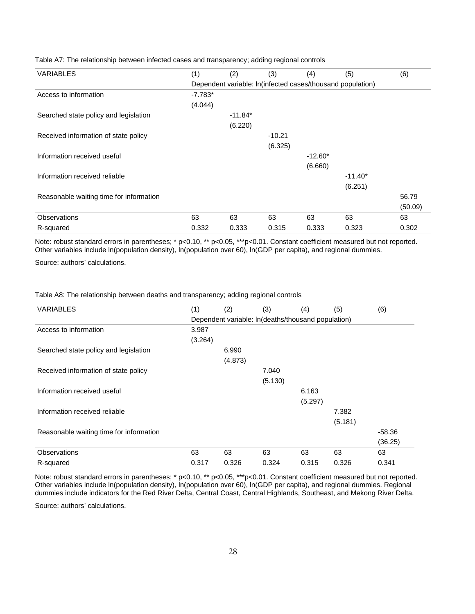| <b>VARIABLES</b>                        | (1)       | (2)                                                        | (3)      | (4)       | (5)       | (6)     |
|-----------------------------------------|-----------|------------------------------------------------------------|----------|-----------|-----------|---------|
|                                         |           | Dependent variable: In(infected cases/thousand population) |          |           |           |         |
| Access to information                   | $-7.783*$ |                                                            |          |           |           |         |
|                                         | (4.044)   |                                                            |          |           |           |         |
| Searched state policy and legislation   |           | $-11.84*$                                                  |          |           |           |         |
|                                         |           | (6.220)                                                    |          |           |           |         |
| Received information of state policy    |           |                                                            | $-10.21$ |           |           |         |
|                                         |           |                                                            | (6.325)  |           |           |         |
| Information received useful             |           |                                                            |          | $-12.60*$ |           |         |
|                                         |           |                                                            |          | (6.660)   |           |         |
| Information received reliable           |           |                                                            |          |           | $-11.40*$ |         |
|                                         |           |                                                            |          |           | (6.251)   |         |
| Reasonable waiting time for information |           |                                                            |          |           |           | 56.79   |
|                                         |           |                                                            |          |           |           | (50.09) |
| <b>Observations</b>                     | 63        | 63                                                         | 63       | 63        | 63        | 63      |
| R-squared                               | 0.332     | 0.333                                                      | 0.315    | 0.333     | 0.323     | 0.302   |

Table A7: The relationship between infected cases and transparency; adding regional controls

Note: robust standard errors in parentheses; \* p<0.10, \*\* p<0.05, \*\*\*p<0.01. Constant coefficient measured but not reported. Other variables include ln(population density), ln(population over 60), ln(GDP per capita), and regional dummies.

Source: authors' calculations.

Table A8: The relationship between deaths and transparency; adding regional controls

| <b>VARIABLES</b>                        | (1)     | (2)     | (3)                                                | (4)     | (5)     | (6)      |
|-----------------------------------------|---------|---------|----------------------------------------------------|---------|---------|----------|
|                                         |         |         | Dependent variable: In(deaths/thousand population) |         |         |          |
| Access to information                   | 3.987   |         |                                                    |         |         |          |
|                                         | (3.264) |         |                                                    |         |         |          |
| Searched state policy and legislation   |         | 6.990   |                                                    |         |         |          |
|                                         |         | (4.873) |                                                    |         |         |          |
| Received information of state policy    |         |         | 7.040                                              |         |         |          |
|                                         |         |         | (5.130)                                            |         |         |          |
| Information received useful             |         |         |                                                    | 6.163   |         |          |
|                                         |         |         |                                                    | (5.297) |         |          |
| Information received reliable           |         |         |                                                    |         | 7.382   |          |
|                                         |         |         |                                                    |         | (5.181) |          |
| Reasonable waiting time for information |         |         |                                                    |         |         | $-58.36$ |
|                                         |         |         |                                                    |         |         | (36.25)  |
| <b>Observations</b>                     | 63      | 63      | 63                                                 | 63      | 63      | 63       |
| R-squared                               | 0.317   | 0.326   | 0.324                                              | 0.315   | 0.326   | 0.341    |

Note: robust standard errors in parentheses; \* p<0.10, \*\* p<0.05, \*\*\*p<0.01. Constant coefficient measured but not reported. Other variables include ln(population density), ln(population over 60), ln(GDP per capita), and regional dummies. Regional dummies include indicators for the Red River Delta, Central Coast, Central Highlands, Southeast, and Mekong River Delta.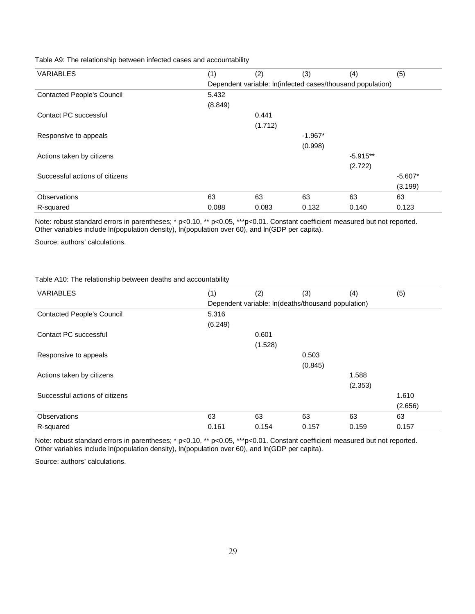### Table A9: The relationship between infected cases and accountability

| <b>VARIABLES</b>                  | (1)                                                        | (2)     | (3)       | (4)        | (5)       |  |  |  |
|-----------------------------------|------------------------------------------------------------|---------|-----------|------------|-----------|--|--|--|
|                                   | Dependent variable: In(infected cases/thousand population) |         |           |            |           |  |  |  |
| <b>Contacted People's Council</b> | 5.432                                                      |         |           |            |           |  |  |  |
|                                   | (8.849)                                                    |         |           |            |           |  |  |  |
| Contact PC successful             |                                                            | 0.441   |           |            |           |  |  |  |
|                                   |                                                            | (1.712) |           |            |           |  |  |  |
| Responsive to appeals             |                                                            |         | $-1.967*$ |            |           |  |  |  |
|                                   |                                                            |         | (0.998)   |            |           |  |  |  |
| Actions taken by citizens         |                                                            |         |           | $-5.915**$ |           |  |  |  |
|                                   |                                                            |         |           | (2.722)    |           |  |  |  |
| Successful actions of citizens    |                                                            |         |           |            | $-5.607*$ |  |  |  |
|                                   |                                                            |         |           |            | (3.199)   |  |  |  |
| Observations                      | 63                                                         | 63      | 63        | 63         | 63        |  |  |  |
| R-squared                         | 0.088                                                      | 0.083   | 0.132     | 0.140      | 0.123     |  |  |  |

Note: robust standard errors in parentheses; \* p<0.10, \*\* p<0.05, \*\*\*p<0.01. Constant coefficient measured but not reported. Other variables include ln(population density), ln(population over 60), and ln(GDP per capita).

Source: authors' calculations.

## Table A10: The relationship between deaths and accountability

| (1)     | (2)     | (3)     | (4)     | (5)                                                |
|---------|---------|---------|---------|----------------------------------------------------|
|         |         |         |         |                                                    |
| 5.316   |         |         |         |                                                    |
| (6.249) |         |         |         |                                                    |
|         | 0.601   |         |         |                                                    |
|         | (1.528) |         |         |                                                    |
|         |         | 0.503   |         |                                                    |
|         |         | (0.845) |         |                                                    |
|         |         |         | 1.588   |                                                    |
|         |         |         | (2.353) |                                                    |
|         |         |         |         | 1.610                                              |
|         |         |         |         | (2.656)                                            |
| 63      | 63      | 63      | 63      | 63                                                 |
| 0.161   | 0.154   | 0.157   | 0.159   | 0.157                                              |
|         |         |         |         | Dependent variable: In(deaths/thousand population) |

Note: robust standard errors in parentheses; \* p<0.10, \*\* p<0.05, \*\*\*p<0.01. Constant coefficient measured but not reported. Other variables include ln(population density), ln(population over 60), and ln(GDP per capita).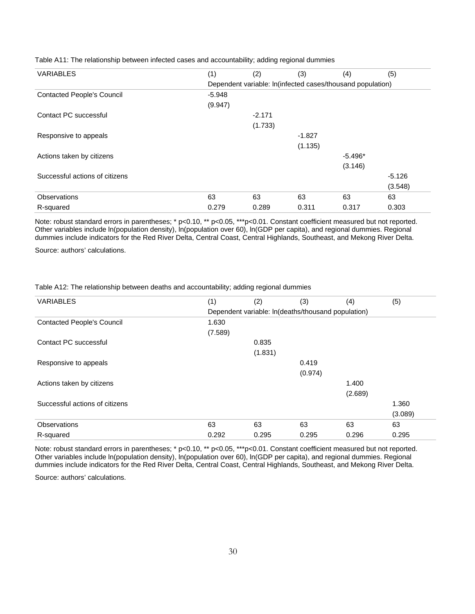| <b>VARIABLES</b>                  | (1)      | (2)      | (3)      | (4)                                                        | (5)      |
|-----------------------------------|----------|----------|----------|------------------------------------------------------------|----------|
|                                   |          |          |          | Dependent variable: In(infected cases/thousand population) |          |
| <b>Contacted People's Council</b> | $-5.948$ |          |          |                                                            |          |
|                                   | (9.947)  |          |          |                                                            |          |
| Contact PC successful             |          | $-2.171$ |          |                                                            |          |
|                                   |          | (1.733)  |          |                                                            |          |
| Responsive to appeals             |          |          | $-1.827$ |                                                            |          |
|                                   |          |          | (1.135)  |                                                            |          |
| Actions taken by citizens         |          |          |          | $-5.496*$                                                  |          |
|                                   |          |          |          | (3.146)                                                    |          |
| Successful actions of citizens    |          |          |          |                                                            | $-5.126$ |
|                                   |          |          |          |                                                            | (3.548)  |
| Observations                      | 63       | 63       | 63       | 63                                                         | 63       |
| R-squared                         | 0.279    | 0.289    | 0.311    | 0.317                                                      | 0.303    |

Table A11: The relationship between infected cases and accountability; adding regional dummies

Note: robust standard errors in parentheses; \* p<0.10, \*\* p<0.05, \*\*\*p<0.01. Constant coefficient measured but not reported. Other variables include ln(population density), ln(population over 60), ln(GDP per capita), and regional dummies. Regional dummies include indicators for the Red River Delta, Central Coast, Central Highlands, Southeast, and Mekong River Delta.

Source: authors' calculations.

#### Table A12: The relationship between deaths and accountability; adding regional dummies

| <b>VARIABLES</b>                  | (1)                                                | (2)     | (3)     | (4)     | (5)     |  |  |
|-----------------------------------|----------------------------------------------------|---------|---------|---------|---------|--|--|
|                                   | Dependent variable: In(deaths/thousand population) |         |         |         |         |  |  |
| <b>Contacted People's Council</b> | 1.630                                              |         |         |         |         |  |  |
|                                   | (7.589)                                            |         |         |         |         |  |  |
| Contact PC successful             |                                                    | 0.835   |         |         |         |  |  |
|                                   |                                                    | (1.831) |         |         |         |  |  |
| Responsive to appeals             |                                                    |         | 0.419   |         |         |  |  |
|                                   |                                                    |         | (0.974) |         |         |  |  |
| Actions taken by citizens         |                                                    |         |         | 1.400   |         |  |  |
|                                   |                                                    |         |         | (2.689) |         |  |  |
| Successful actions of citizens    |                                                    |         |         |         | 1.360   |  |  |
|                                   |                                                    |         |         |         | (3.089) |  |  |
| Observations                      | 63                                                 | 63      | 63      | 63      | 63      |  |  |
| R-squared                         | 0.292                                              | 0.295   | 0.295   | 0.296   | 0.295   |  |  |

Note: robust standard errors in parentheses; \* p<0.10, \*\* p<0.05, \*\*\*p<0.01. Constant coefficient measured but not reported. Other variables include ln(population density), ln(population over 60), ln(GDP per capita), and regional dummies. Regional dummies include indicators for the Red River Delta, Central Coast, Central Highlands, Southeast, and Mekong River Delta.